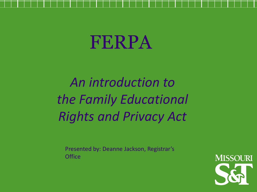# FERPA

*An introduction to the Family Educational Rights and Privacy Act*

Presented by: Deanne Jackson, Registrar's **Office** 

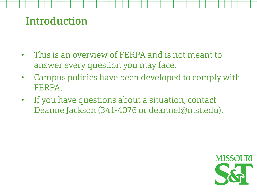#### Introduction

- This is an overview of FERPA and is not meant to answer every question you may face.
- Campus policies have been developed to comply with FERPA.
- If you have questions about a situation, contact Deanne Jackson (341-4076 or deannel@mst.edu).

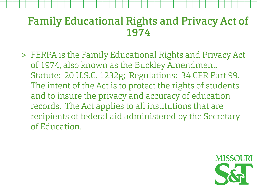#### Family Educational Rights and Privacy Act of 1974

> FERPA is the Family Educational Rights and Privacy Act of 1974, also known as the Buckley Amendment. Statute: 20 U.S.C. 1232g; Regulations: 34 CFR Part 99. The intent of the Act is to protect the rights of students and to insure the privacy and accuracy of education records. The Act applies to all institutions that are recipients of federal aid administered by the Secretary of Education.

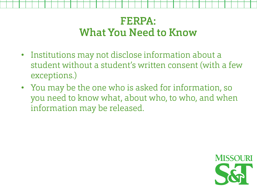#### FERPA: What You Need to Know

- Institutions may not disclose information about a student without a student's written consent (with a few exceptions.)
- You may be the one who is asked for information, so you need to know what, about who, to who, and when information may be released.

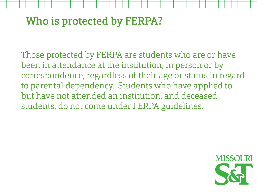# Who is protected by FERPA?

Those protected by FERPA are students who are or have been in attendance at the institution, in person or by correspondence, regardless of their age or status in regard to parental dependency. Students who have applied to but have not attended an institution, and deceased students, do not come under FERPA guidelines.

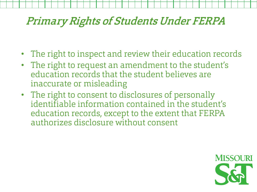#### Primary Rights of Students Under FERPA

- The right to inspect and review their education records
- The right to request an amendment to the student's education records that the student believes are inaccurate or misleading
- The right to consent to disclosures of personally identifiable information contained in the student's education records, except to the extent that FERPA authorizes disclosure without consent

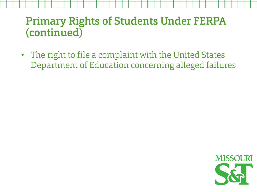# Primary Rights of Students Under FERPA (continued)

• The right to file a complaint with the United States Department of Education concerning alleged failures

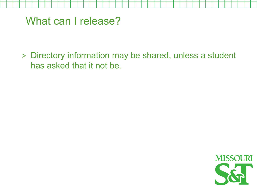What can I release?

> Directory information may be shared, unless a student has asked that it not be.

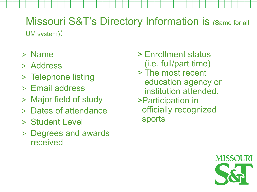#### Missouri S&T's Directory Information is (Same for all UM system):

- > Name
- > Address
- > Telephone listing
- > Email address
- > Major field of study
- > Dates of attendance
- > Student Level
- > Degrees and awards received
- > Enrollment status (i.e. full/part time)
- > The most recent education agency or institution attended.
- >Participation in officially recognized sports

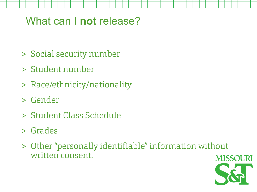# What can I **not** release?

- > Social security number
- > Student number
- > Race/ethnicity/nationality
- > Gender
- > Student Class Schedule
- > Grades
- > Other "personally identifiable" information without written consent.

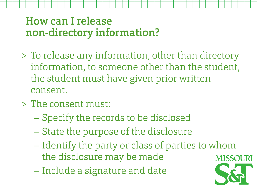# How can I release non-directory information?

- > To release any information, other than directory information, to someone other than the student, the student must have given prior written consent.
- > The consent must:
	- Specify the records to be disclosed
	- State the purpose of the disclosure
	- Identify the party or class of parties to whom the disclosure may be made
	- Include a signature and date

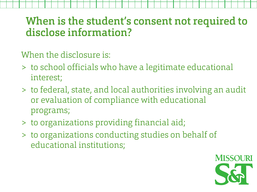#### When is the student's consent not required to disclose information?

When the disclosure is:

- > to school officials who have a legitimate educational interest;
- > to federal, state, and local authorities involving an audit or evaluation of compliance with educational programs;
- > to organizations providing financial aid;
- > to organizations conducting studies on behalf of educational institutions;

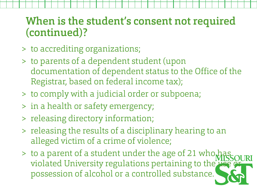# When is the student's consent not required (continued)?

- > to accrediting organizations;
- > to parents of a dependent student (upon documentation of dependent status to the Office of the Registrar, based on federal income tax);
- > to comply with a judicial order or subpoena;
- > in a health or safety emergency;
- > releasing directory information;
- > releasing the results of a disciplinary hearing to an alleged victim of a crime of violence;
- > to a parent of a student under the age of 21 who violated University regulations pertaining to the use possession of alcohol or a controlled substance.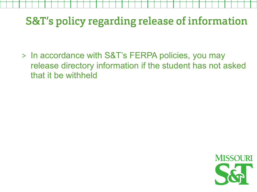# S&T's policy regarding release of information

> In accordance with S&T's FERPA policies, you may release directory information if the student has not asked that it be withheld

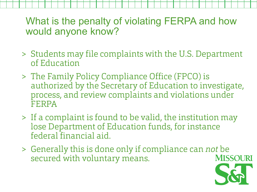What is the penalty of violating FERPA and how would anyone know?

- > Students may file complaints with the U.S. Department of Education
- > The Family Policy Compliance Office (FPCO) is authorized by the Secretary of Education to investigate, process, and review complaints and violations under FERPA
- > If a complaint is found to be valid, the institution may lose Department of Education funds, for instance federal financial aid.
- > Generally this is done only if compliance can not be secured with voluntary means. **MISSOURI**

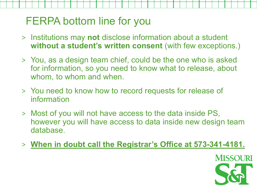# FERPA bottom line for you

- > Institutions may **not** disclose information about a student **without a student's written consent** (with few exceptions.)
- > You, as a design team chief, could be the one who is asked for information, so you need to know what to release, about whom, to whom and when.
- > You need to know how to record requests for release of information
- > Most of you will not have access to the data inside PS, however you will have access to data inside new design team database.
- > **When in doubt call the Registrar's Office at 573-341-4181.**

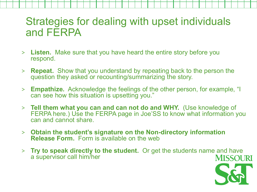#### Strategies for dealing with upset individuals and FERPA

- > **Listen.** Make sure that you have heard the entire story before you respond.
- > **Repeat.** Show that you understand by repeating back to the person the question they asked or recounting/summarizing the story.
- > **Empathize.** Acknowledge the feelings of the other person, for example, "I can see how this situation is upsetting you."
- > **Tell them what you can and can not do and WHY.** (Use knowledge of FERPA here.) Use the FERPA page in Joe'SS to know what information you can and cannot share.
- > **Obtain the student's signature on the Non-directory information Release Form.** Form is available on the web
- > **Try to speak directly to the student.** Or get the students name and have a supervisor call him/her **MISSOURI**

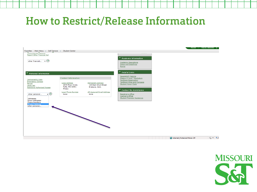#### How to Restrict/ReIease Information



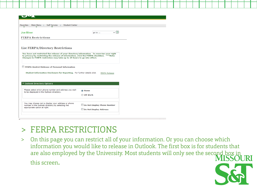| Main Menu x Self Service x Student Center<br><b>Favorites</b>                                                                                                                                                                                                                                                |                                                     |  |
|--------------------------------------------------------------------------------------------------------------------------------------------------------------------------------------------------------------------------------------------------------------------------------------------------------------|-----------------------------------------------------|--|
| <b>Joe Miner</b>                                                                                                                                                                                                                                                                                             | $\overline{\mathcal{L}}(\lambda)$<br>go to $\ldots$ |  |
| <b>FERPA Restrictions</b>                                                                                                                                                                                                                                                                                    |                                                     |  |
| <b>List FERPA/Directory Restrictions</b><br>You have not restricted the release of your directory information. To exercise your right<br>to privacy by restricting the release of information, click the FERPA checkbox. ***Note:<br>Changes to FERPA restriction may take up to 24 hours to go into effect. |                                                     |  |
| FERPA-Restrict Release of Personal Information                                                                                                                                                                                                                                                               |                                                     |  |
| Student Information Disclosure for Reporting. For further details click                                                                                                                                                                                                                                      | <b>FERPA Release</b>                                |  |
| ▼ Outlook Directory Options                                                                                                                                                                                                                                                                                  |                                                     |  |
| Please select which phone number and address you wish<br>to be displayed in the Outlook directory.                                                                                                                                                                                                           | <b>O</b> Home<br><b>OUM Work</b>                    |  |

#### > FERPA RESTRICTIONS

this screen.

> On this page you can restrict all of your information. Or you can choose which information you would like to release in Outlook. The first box is for students that are also employed by the University. Most students will only see the second box in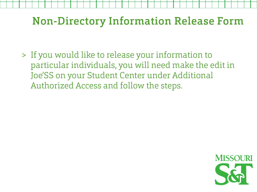### Non-Directory Information Release Form

> If you would like to release your information to particular individuals, you will need make the edit in Joe'SS on your Student Center under Additional Authorized Access and follow the steps.

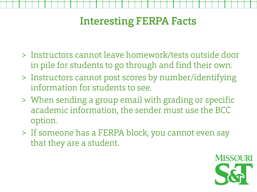# Interesting FERPA Facts

- > Instructors cannot leave homework/tests outside door in pile for students to go through and find their own.
- > Instructors cannot post scores by number/identifying information for students to see.
- > When sending a group email with grading or specific academic information, the sender must use the BCC option.
- > If someone has a FERPA block, you cannot even say that they are a student.

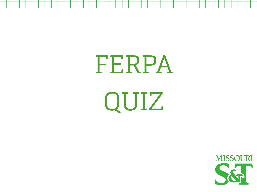FERPA QUIZ

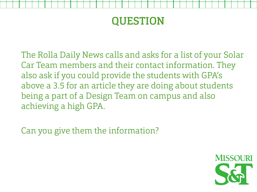# QUESTION

The Rolla Daily News calls and asks for a list of your Solar Car Team members and their contact information. They also ask if you could provide the students with GPA's above a 3.5 for an article they are doing about students being a part of a Design Team on campus and also achieving a high GPA.

Can you give them the information?

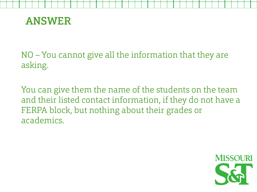

NO – You cannot give all the information that they are asking.

You can give them the name of the students on the team and their listed contact information, if they do not have a FERPA block, but nothing about their grades or academics.

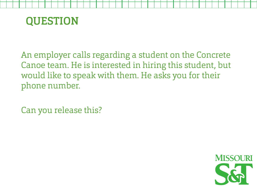

An employer calls regarding a student on the Concrete Canoe team. He is interested in hiring this student, but would like to speak with them. He asks you for their phone number.

Can you release this?

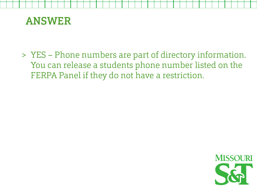

> YES – Phone numbers are part of directory information. You can release a students phone number listed on the FERPA Panel if they do not have a restriction.

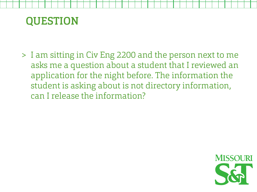#### QUESTION

> I am sitting in Civ Eng 2200 and the person next to me asks me a question about a student that I reviewed an application for the night before. The information the student is asking about is not directory information, can I release the information?

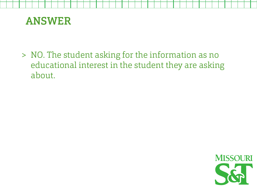

> NO. The student asking for the information as no educational interest in the student they are asking about.